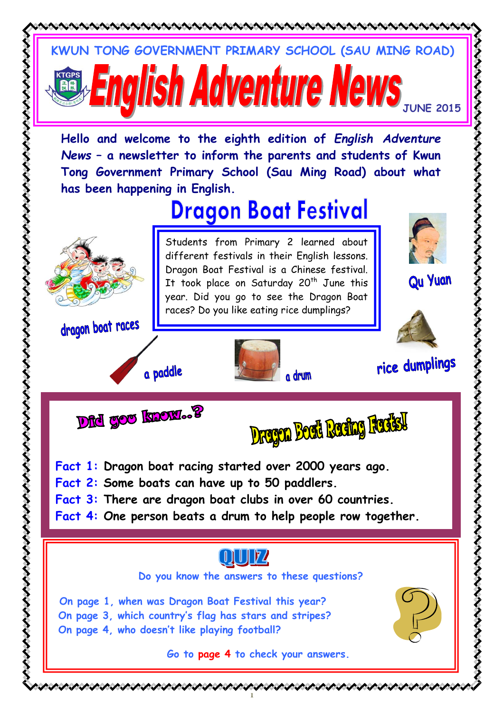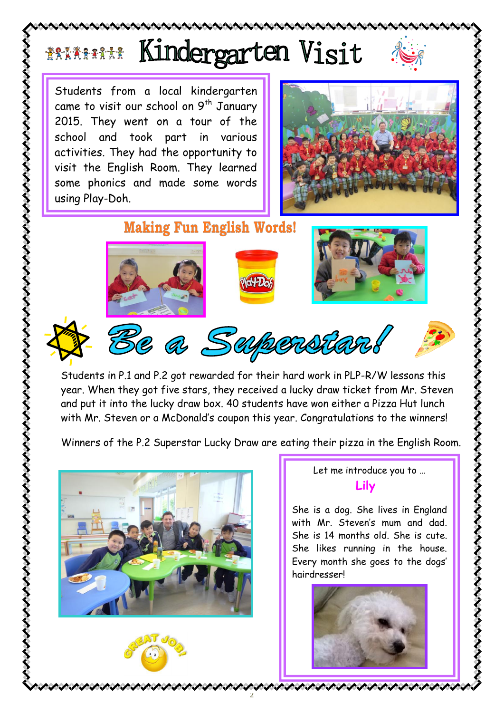## Kindergarten Visit **ŽAAAAAAA**

Students from a local kindergarten came to visit our school on  $9^{th}$  January 2015. They went on a tour of the school and took part in various activities. They had the opportunity to visit the English Room. They learned some phonics and made some words using Play-Doh.



**Making Fun English Words!** 







Be a Superstan!

いへへへへへ

Students in P.1 and P.2 got rewarded for their hard work in PLP-R/W lessons this year. When they got five stars, they received a lucky draw ticket from Mr. Steven and put it into the lucky draw box. 40 students have won either a Pizza Hut lunch with Mr. Steven or a McDonald's coupon this year. Congratulations to the winners!

Winners of the P.2 Superstar Lucky Draw are eating their pizza in the English Room.

2





Let me introduce you to … **Lily**

She is a dog. She lives in England with Mr. Steven's mum and dad. She is 14 months old. She is cute. She likes running in the house. Every month she goes to the dogs' hairdresser!

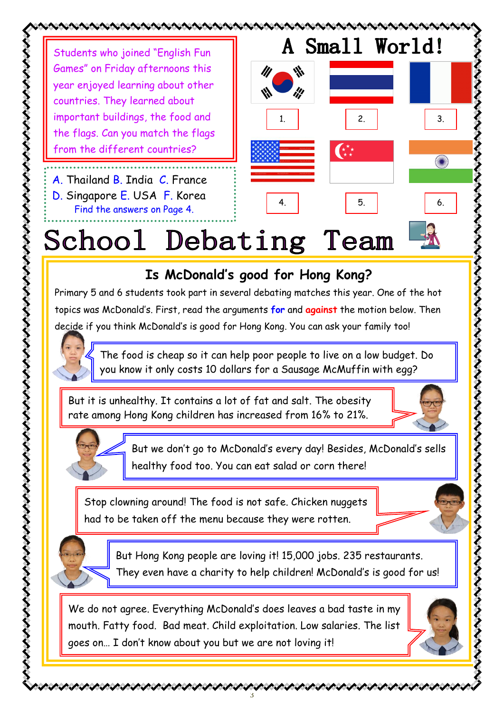